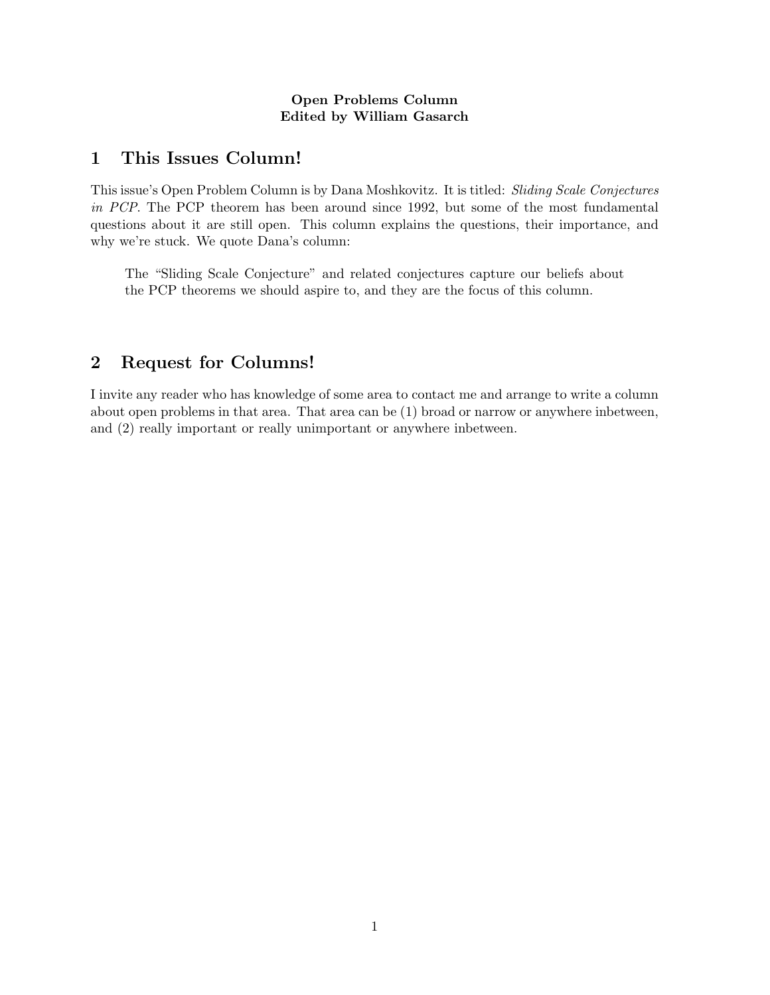#### Open Problems Column Edited by William Gasarch

### 1 This Issues Column!

This issue's Open Problem Column is by Dana Moshkovitz. It is titled: Sliding Scale Conjectures in PCP. The PCP theorem has been around since 1992, but some of the most fundamental questions about it are still open. This column explains the questions, their importance, and why we're stuck. We quote Dana's column:

The "Sliding Scale Conjecture" and related conjectures capture our beliefs about the PCP theorems we should aspire to, and they are the focus of this column.

# 2 Request for Columns!

I invite any reader who has knowledge of some area to contact me and arrange to write a column about open problems in that area. That area can be (1) broad or narrow or anywhere inbetween, and (2) really important or really unimportant or anywhere inbetween.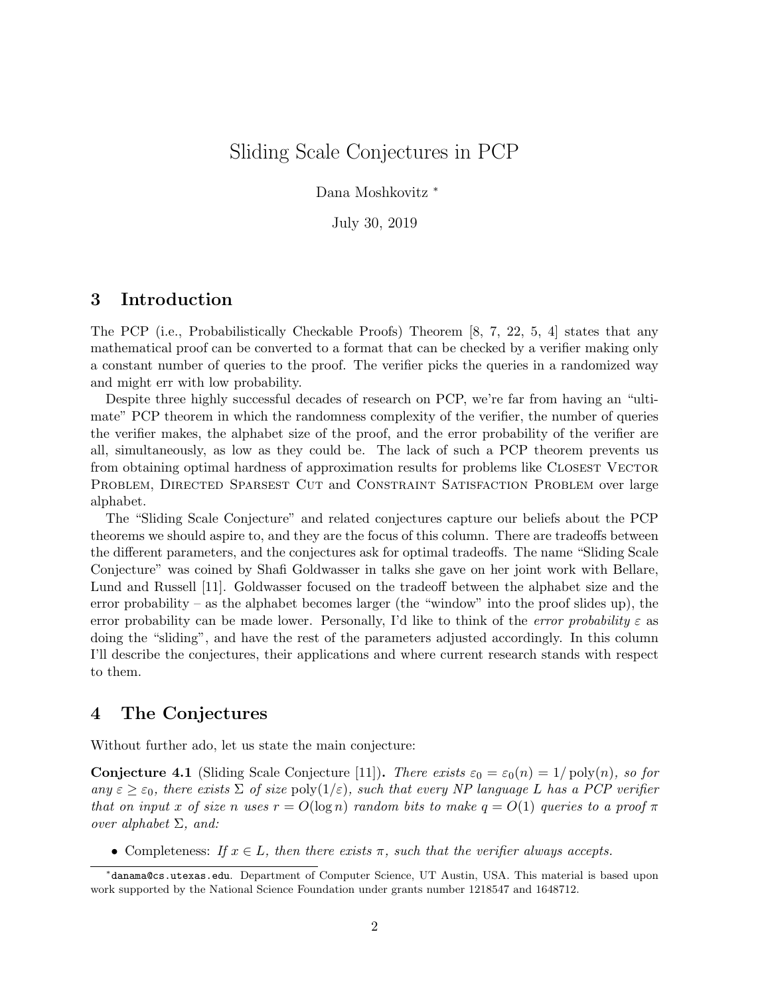# Sliding Scale Conjectures in PCP

Dana Moshkovitz <sup>∗</sup>

July 30, 2019

### 3 Introduction

The PCP (i.e., Probabilistically Checkable Proofs) Theorem [8, 7, 22, 5, 4] states that any mathematical proof can be converted to a format that can be checked by a verifier making only a constant number of queries to the proof. The verifier picks the queries in a randomized way and might err with low probability.

Despite three highly successful decades of research on PCP, we're far from having an "ultimate" PCP theorem in which the randomness complexity of the verifier, the number of queries the verifier makes, the alphabet size of the proof, and the error probability of the verifier are all, simultaneously, as low as they could be. The lack of such a PCP theorem prevents us from obtaining optimal hardness of approximation results for problems like CLOSEST VECTOR PROBLEM, DIRECTED SPARSEST CUT and CONSTRAINT SATISFACTION PROBLEM over large alphabet.

The "Sliding Scale Conjecture" and related conjectures capture our beliefs about the PCP theorems we should aspire to, and they are the focus of this column. There are tradeoffs between the different parameters, and the conjectures ask for optimal tradeoffs. The name "Sliding Scale Conjecture" was coined by Shafi Goldwasser in talks she gave on her joint work with Bellare, Lund and Russell [11]. Goldwasser focused on the tradeoff between the alphabet size and the error probability – as the alphabet becomes larger (the "window" into the proof slides up), the error probability can be made lower. Personally, I'd like to think of the error probability  $\varepsilon$  as doing the "sliding", and have the rest of the parameters adjusted accordingly. In this column I'll describe the conjectures, their applications and where current research stands with respect to them.

### 4 The Conjectures

Without further ado, let us state the main conjecture:

**Conjecture 4.1** (Sliding Scale Conjecture [11]). There exists  $\varepsilon_0 = \varepsilon_0(n) = 1/\text{poly}(n)$ , so for any  $\varepsilon \geq \varepsilon_0$ , there exists  $\Sigma$  of size  $\text{poly}(1/\varepsilon)$ , such that every NP language L has a PCP verifier that on input x of size n uses  $r = O(\log n)$  random bits to make  $q = O(1)$  queries to a proof  $\pi$ over alphabet  $\Sigma$ , and:

• Completeness: If  $x \in L$ , then there exists  $\pi$ , such that the verifier always accepts.

<sup>∗</sup> danama@cs.utexas.edu. Department of Computer Science, UT Austin, USA. This material is based upon work supported by the National Science Foundation under grants number 1218547 and 1648712.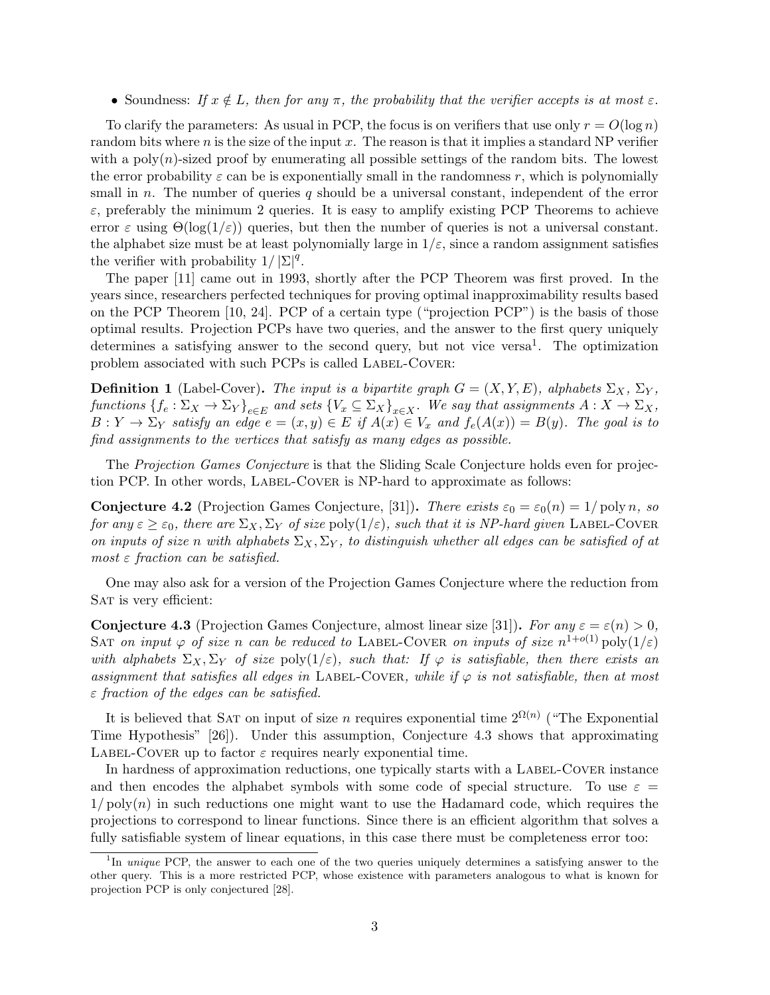• Soundness: If  $x \notin L$ , then for any  $\pi$ , the probability that the verifier accepts is at most  $\varepsilon$ .

To clarify the parameters: As usual in PCP, the focus is on verifiers that use only  $r = O(\log n)$ random bits where n is the size of the input x. The reason is that it implies a standard NP verifier with a  $poly(n)$ -sized proof by enumerating all possible settings of the random bits. The lowest the error probability  $\varepsilon$  can be is exponentially small in the randomness r, which is polynomially small in n. The number of queries q should be a universal constant, independent of the error  $\varepsilon$ , preferably the minimum 2 queries. It is easy to amplify existing PCP Theorems to achieve error  $\varepsilon$  using  $\Theta(\log(1/\varepsilon))$  queries, but then the number of queries is not a universal constant. the alphabet size must be at least polynomially large in  $1/\varepsilon$ , since a random assignment satisfies the verifier with probability  $1/|\Sigma|^q$ .

The paper [11] came out in 1993, shortly after the PCP Theorem was first proved. In the years since, researchers perfected techniques for proving optimal inapproximability results based on the PCP Theorem [10, 24]. PCP of a certain type ("projection PCP") is the basis of those optimal results. Projection PCPs have two queries, and the answer to the first query uniquely determines a satisfying answer to the second query, but not vice versa<sup>1</sup>. The optimization problem associated with such PCPs is called LABEL-COVER:

**Definition 1** (Label-Cover). The input is a bipartite graph  $G = (X, Y, E)$ , alphabets  $\Sigma_X$ ,  $\Sigma_Y$ , functions  $\{f_e:\Sigma_X\to\Sigma_Y\}_{e\in E}$  and sets  $\{V_x\subseteq\Sigma_X\}_{x\in X}$ . We say that assignments  $A:X\to\Sigma_X,$  $B: Y \to \Sigma_Y$  satisfy an edge  $e = (x, y) \in E$  if  $A(x) \in V_x$  and  $f_e(A(x)) = B(y)$ . The goal is to find assignments to the vertices that satisfy as many edges as possible.

The Projection Games Conjecture is that the Sliding Scale Conjecture holds even for projection PCP. In other words, LABEL-COVER is NP-hard to approximate as follows:

**Conjecture 4.2** (Projection Games Conjecture, [31]). There exists  $\varepsilon_0 = \varepsilon_0(n) = 1/\text{poly } n$ , so for any  $\varepsilon \geq \varepsilon_0$ , there are  $\Sigma_X, \Sigma_Y$  of size  $\text{poly}(1/\varepsilon)$ , such that it is NP-hard given LABEL-COVER on inputs of size n with alphabets  $\Sigma_X, \Sigma_Y$ , to distinguish whether all edges can be satisfied of at most  $\varepsilon$  fraction can be satisfied.

One may also ask for a version of the Projection Games Conjecture where the reduction from SAT is very efficient:

**Conjecture 4.3** (Projection Games Conjecture, almost linear size [31]). For any  $\varepsilon = \varepsilon(n) > 0$ , SAT on input  $\varphi$  of size n can be reduced to LABEL-COVER on inputs of size  $n^{1+o(1)}$  poly $(1/\varepsilon)$ with alphabets  $\Sigma_X, \Sigma_Y$  of size poly $(1/\varepsilon)$ , such that: If  $\varphi$  is satisfiable, then there exists an assignment that satisfies all edges in LABEL-COVER, while if  $\varphi$  is not satisfiable, then at most  $\varepsilon$  fraction of the edges can be satisfied.

It is believed that SAT on input of size n requires exponential time  $2^{\Omega(n)}$  ("The Exponential") Time Hypothesis" [26]). Under this assumption, Conjecture 4.3 shows that approximating LABEL-COVER up to factor  $\varepsilon$  requires nearly exponential time.

In hardness of approximation reductions, one typically starts with a LABEL-COVER instance and then encodes the alphabet symbols with some code of special structure. To use  $\varepsilon =$  $1/poly(n)$  in such reductions one might want to use the Hadamard code, which requires the projections to correspond to linear functions. Since there is an efficient algorithm that solves a fully satisfiable system of linear equations, in this case there must be completeness error too:

<sup>&</sup>lt;sup>1</sup>In unique PCP, the answer to each one of the two queries uniquely determines a satisfying answer to the other query. This is a more restricted PCP, whose existence with parameters analogous to what is known for projection PCP is only conjectured [28].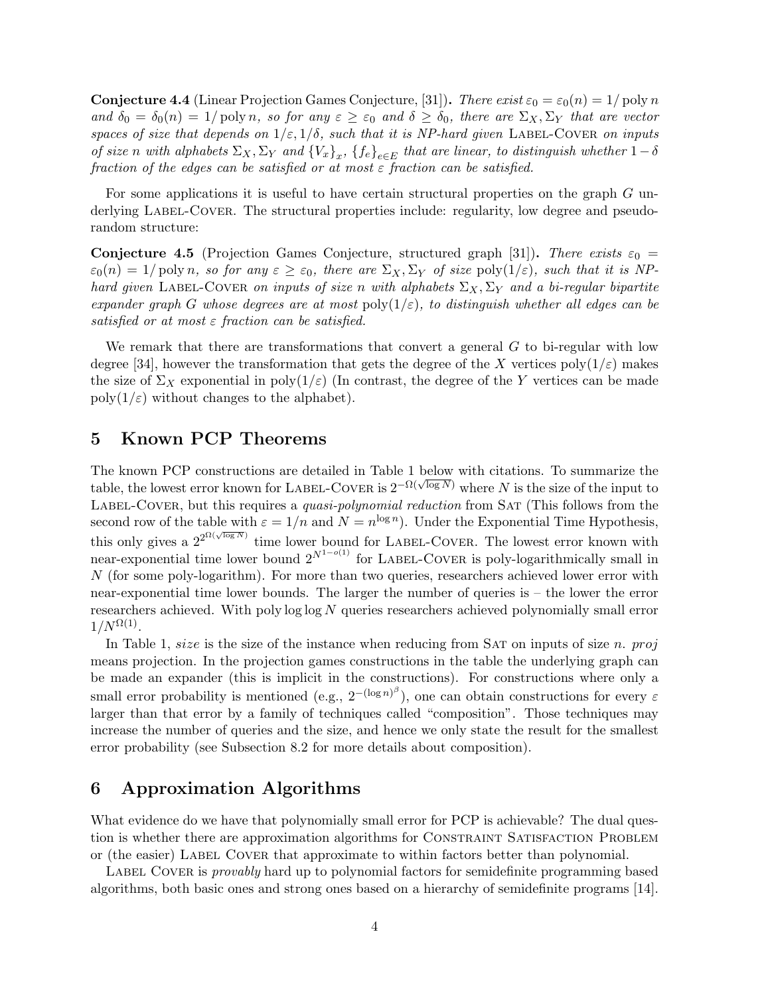**Conjecture 4.4** (Linear Projection Games Conjecture, [31]). There exist  $\varepsilon_0 = \varepsilon_0(n) = 1/\text{poly } n$ and  $\delta_0 = \delta_0(n) = 1/\text{poly } n$ , so for any  $\varepsilon \geq \varepsilon_0$  and  $\delta \geq \delta_0$ , there are  $\Sigma_X, \Sigma_Y$  that are vector spaces of size that depends on  $1/\varepsilon$ ,  $1/\delta$ , such that it is NP-hard given LABEL-COVER on inputs of size n with alphabets  $\Sigma_X, \Sigma_Y$  and  $\{V_x\}_x, \{f_e\}_{e \in E}$  that are linear, to distinguish whether  $1-\delta$ fraction of the edges can be satisfied or at most  $\varepsilon$  fraction can be satisfied.

For some applications it is useful to have certain structural properties on the graph G underlying LABEL-COVER. The structural properties include: regularity, low degree and pseudorandom structure:

**Conjecture 4.5** (Projection Games Conjecture, structured graph [31]). There exists  $\varepsilon_0$  =  $\varepsilon_0(n) = 1/\text{poly } n$ , so for any  $\varepsilon \geq \varepsilon_0$ , there are  $\Sigma_X, \Sigma_Y$  of size poly $(1/\varepsilon)$ , such that it is NPhard given LABEL-COVER on inputs of size n with alphabets  $\Sigma_X$ ,  $\Sigma_Y$  and a bi-regular bipartite expander graph G whose degrees are at most  $\text{poly}(1/\varepsilon)$ , to distinguish whether all edges can be satisfied or at most  $\varepsilon$  fraction can be satisfied.

We remark that there are transformations that convert a general  $G$  to bi-regular with low degree [34], however the transformation that gets the degree of the X vertices  $poly(1/\varepsilon)$  makes the size of  $\Sigma_X$  exponential in poly $(1/\varepsilon)$  (In contrast, the degree of the Y vertices can be made  $\text{poly}(1/\varepsilon)$  without changes to the alphabet).

#### 5 Known PCP Theorems

The known PCP constructions are detailed in Table 1 below with citations. To summarize the table, the lowest error known for LABEL-COVER is  $2^{-\Omega(\sqrt{\log N})}$  where N is the size of the input to LABEL-COVER, but this requires a *quasi-polynomial reduction* from SAT (This follows from the second row of the table with  $\varepsilon = 1/n$  and  $N = n^{\log n}$ ). Under the Exponential Time Hypothesis, this only gives a  $2^{2^{\Omega(\sqrt{\log N})}}$  time lower bound for LABEL-COVER. The lowest error known with near-exponential time lower bound  $2^{N^{1-o(1)}}$  for LABEL-COVER is poly-logarithmically small in N (for some poly-logarithm). For more than two queries, researchers achieved lower error with near-exponential time lower bounds. The larger the number of queries is – the lower the error researchers achieved. With poly  $\log \log N$  queries researchers achieved polynomially small error  $1/N^{\Omega(1)}$ .

In Table 1, size is the size of the instance when reducing from SAT on inputs of size  $n.$  proj means projection. In the projection games constructions in the table the underlying graph can be made an expander (this is implicit in the constructions). For constructions where only a small error probability is mentioned (e.g.,  $2^{-(\log n)^{\beta}}$ ), one can obtain constructions for every  $\varepsilon$ larger than that error by a family of techniques called "composition". Those techniques may increase the number of queries and the size, and hence we only state the result for the smallest error probability (see Subsection 8.2 for more details about composition).

### 6 Approximation Algorithms

What evidence do we have that polynomially small error for PCP is achievable? The dual question is whether there are approximation algorithms for CONSTRAINT SATISFACTION PROBLEM or (the easier) LABEL COVER that approximate to within factors better than polynomial.

LABEL COVER is *provably* hard up to polynomial factors for semidefinite programming based algorithms, both basic ones and strong ones based on a hierarchy of semidefinite programs [14].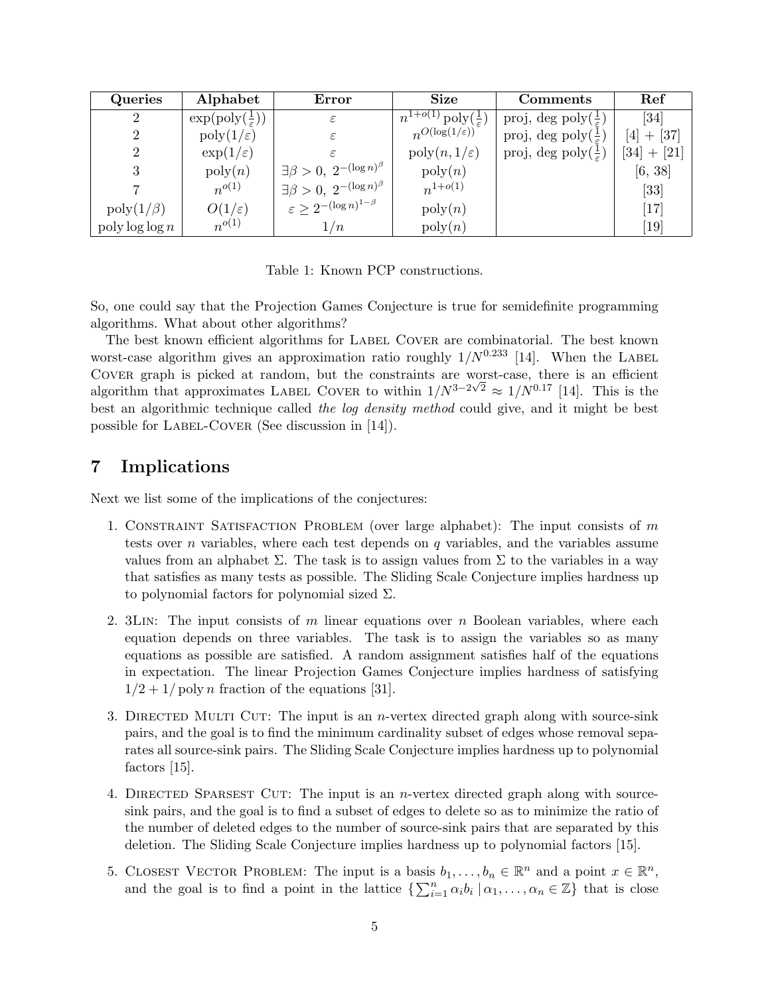| Queries                 | Alphabet                                   | Error                                          | <b>Size</b>                                        | Comments                                 | Ref                          |
|-------------------------|--------------------------------------------|------------------------------------------------|----------------------------------------------------|------------------------------------------|------------------------------|
| $\overline{2}$          | $\exp(\text{poly}(\frac{1}{\varepsilon}))$ | $\varepsilon$                                  | $\frac{n^{1+o(1)}}{n \log(\frac{1}{\varepsilon})}$ | proj, deg poly $(\frac{1}{\varepsilon})$ | [34]                         |
| 2                       | $\text{poly}(1/\varepsilon)$               | ε                                              | $n^{O(\log(1/\varepsilon))}$                       | proj, deg poly $(\frac{1}{\epsilon})$    | $+$ [37]<br>[4]              |
| 2                       | $\exp(1/\varepsilon)$                      |                                                | $\mathrm{poly}(n,1/\varepsilon)$                   | proj, deg poly $(\frac{1}{\varepsilon})$ | $[34] + [21]$                |
| 3                       | $\mathrm{poly}(n)$                         | ' $\exists \beta > 0, 2^{-(\log n)^{\beta}}$ . | $\mathrm{poly}(n)$                                 |                                          | [6, 38]                      |
|                         | $n^{o(1)}$                                 | $\Box \beta > 0, 2^{-(\log n)^{\beta}}$        | $n^{1+o(1)}$                                       |                                          | $[33]$                       |
| $\text{poly}(1/\beta)$  | $O(1/\varepsilon)$                         | $\epsilon \geq 2^{-(\log n)^{1-\beta}}$        | $\mathrm{poly}(n)$                                 |                                          | [17]                         |
| $\text{poly}\log\log n$ | $n^{o(1)}$                                 | 1/n                                            | $\mathrm{poly}(n)$                                 |                                          | $\left\lceil 19\right\rceil$ |

Table 1: Known PCP constructions.

So, one could say that the Projection Games Conjecture is true for semidefinite programming algorithms. What about other algorithms?

The best known efficient algorithms for LABEL COVER are combinatorial. The best known worst-case algorithm gives an approximation ratio roughly  $1/N^{0.233}$  [14]. When the LABEL COVER graph is picked at random, but the constraints are worst-case, there is an efficient algorithm that approximates LABEL COVER to within  $1/N^{3-2\sqrt{2}} \approx 1/N^{0.17}$  [14]. This is the best an algorithmic technique called the log density method could give, and it might be best possible for LABEL-COVER (See discussion in  $[14]$ ).

### 7 Implications

Next we list some of the implications of the conjectures:

- 1. CONSTRAINT SATISFACTION PROBLEM (over large alphabet): The input consists of  $m$ tests over *n* variables, where each test depends on  $q$  variables, and the variables assume values from an alphabet  $\Sigma$ . The task is to assign values from  $\Sigma$  to the variables in a way that satisfies as many tests as possible. The Sliding Scale Conjecture implies hardness up to polynomial factors for polynomial sized  $\Sigma$ .
- 2. 3LIN: The input consists of m linear equations over n Boolean variables, where each equation depends on three variables. The task is to assign the variables so as many equations as possible are satisfied. A random assignment satisfies half of the equations in expectation. The linear Projection Games Conjecture implies hardness of satisfying  $1/2 + 1$  poly *n* fraction of the equations [31].
- 3. DIRECTED MULTI CUT: The input is an *n*-vertex directed graph along with source-sink pairs, and the goal is to find the minimum cardinality subset of edges whose removal separates all source-sink pairs. The Sliding Scale Conjecture implies hardness up to polynomial factors [15].
- 4. DIRECTED SPARSEST CUT: The input is an *n*-vertex directed graph along with sourcesink pairs, and the goal is to find a subset of edges to delete so as to minimize the ratio of the number of deleted edges to the number of source-sink pairs that are separated by this deletion. The Sliding Scale Conjecture implies hardness up to polynomial factors [15].
- 5. CLOSEST VECTOR PROBLEM: The input is a basis  $b_1, \ldots, b_n \in \mathbb{R}^n$  and a point  $x \in \mathbb{R}^n$ , and the goal is to find a point in the lattice  $\{\sum_{i=1}^n \alpha_i b_i \, | \, \alpha_1, \ldots, \alpha_n \in \mathbb{Z}\}\)$  that is close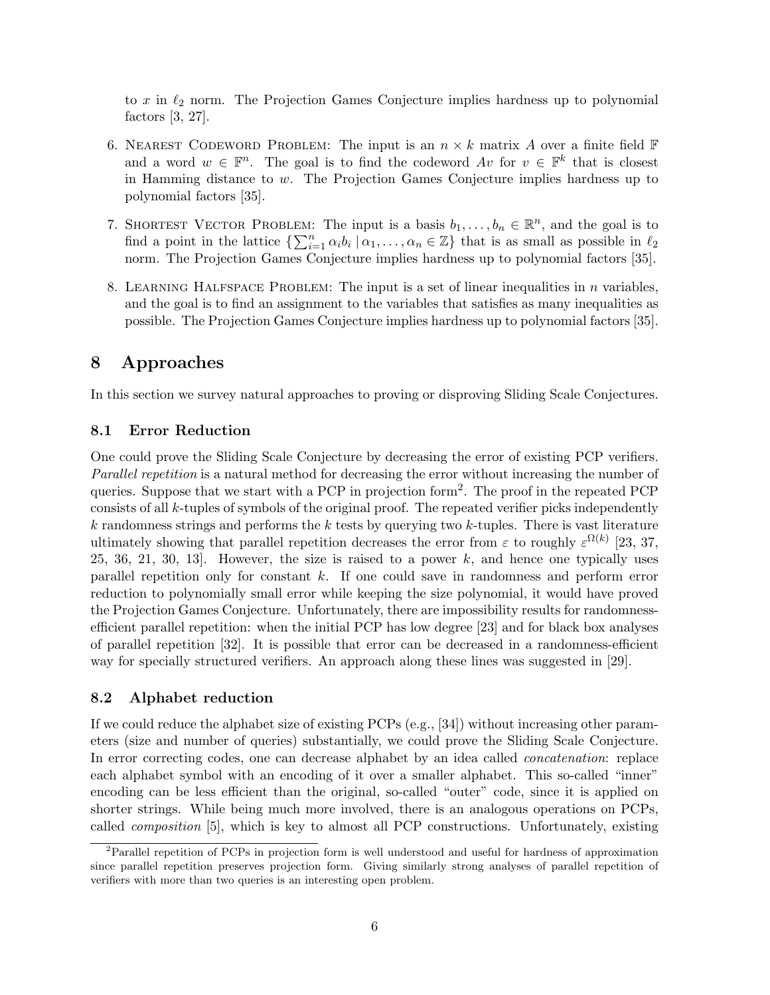to  $x$  in  $\ell_2$  norm. The Projection Games Conjecture implies hardness up to polynomial factors [3, 27].

- 6. NEAREST CODEWORD PROBLEM: The input is an  $n \times k$  matrix A over a finite field  $\mathbb F$ and a word  $w \in \mathbb{F}^n$ . The goal is to find the codeword  $Av$  for  $v \in \mathbb{F}^k$  that is closest in Hamming distance to w. The Projection Games Conjecture implies hardness up to polynomial factors [35].
- 7. SHORTEST VECTOR PROBLEM: The input is a basis  $b_1, \ldots, b_n \in \mathbb{R}^n$ , and the goal is to find a point in the lattice  $\{\sum_{i=1}^n \alpha_i b_i \mid \alpha_1,\ldots,\alpha_n \in \mathbb{Z}\}\)$  that is as small as possible in  $\ell_2$ norm. The Projection Games Conjecture implies hardness up to polynomial factors [35].
- 8. LEARNING HALFSPACE PROBLEM: The input is a set of linear inequalities in  $n$  variables, and the goal is to find an assignment to the variables that satisfies as many inequalities as possible. The Projection Games Conjecture implies hardness up to polynomial factors [35].

### 8 Approaches

In this section we survey natural approaches to proving or disproving Sliding Scale Conjectures.

#### 8.1 Error Reduction

One could prove the Sliding Scale Conjecture by decreasing the error of existing PCP verifiers. Parallel repetition is a natural method for decreasing the error without increasing the number of queries. Suppose that we start with a PCP in projection form<sup>2</sup> . The proof in the repeated PCP consists of all k-tuples of symbols of the original proof. The repeated verifier picks independently  $k$  randomness strings and performs the  $k$  tests by querying two  $k$ -tuples. There is vast literature ultimately showing that parallel repetition decreases the error from  $\varepsilon$  to roughly  $\varepsilon^{\Omega(k)}$  [23, 37, 25, 36, 21, 30, 13. However, the size is raised to a power  $k$ , and hence one typically uses parallel repetition only for constant k. If one could save in randomness and perform error reduction to polynomially small error while keeping the size polynomial, it would have proved the Projection Games Conjecture. Unfortunately, there are impossibility results for randomnessefficient parallel repetition: when the initial PCP has low degree [23] and for black box analyses of parallel repetition [32]. It is possible that error can be decreased in a randomness-efficient way for specially structured verifiers. An approach along these lines was suggested in [29].

#### 8.2 Alphabet reduction

If we could reduce the alphabet size of existing PCPs (e.g., [34]) without increasing other parameters (size and number of queries) substantially, we could prove the Sliding Scale Conjecture. In error correcting codes, one can decrease alphabet by an idea called concatenation: replace each alphabet symbol with an encoding of it over a smaller alphabet. This so-called "inner" encoding can be less efficient than the original, so-called "outer" code, since it is applied on shorter strings. While being much more involved, there is an analogous operations on PCPs, called composition [5], which is key to almost all PCP constructions. Unfortunately, existing

<sup>2</sup>Parallel repetition of PCPs in projection form is well understood and useful for hardness of approximation since parallel repetition preserves projection form. Giving similarly strong analyses of parallel repetition of verifiers with more than two queries is an interesting open problem.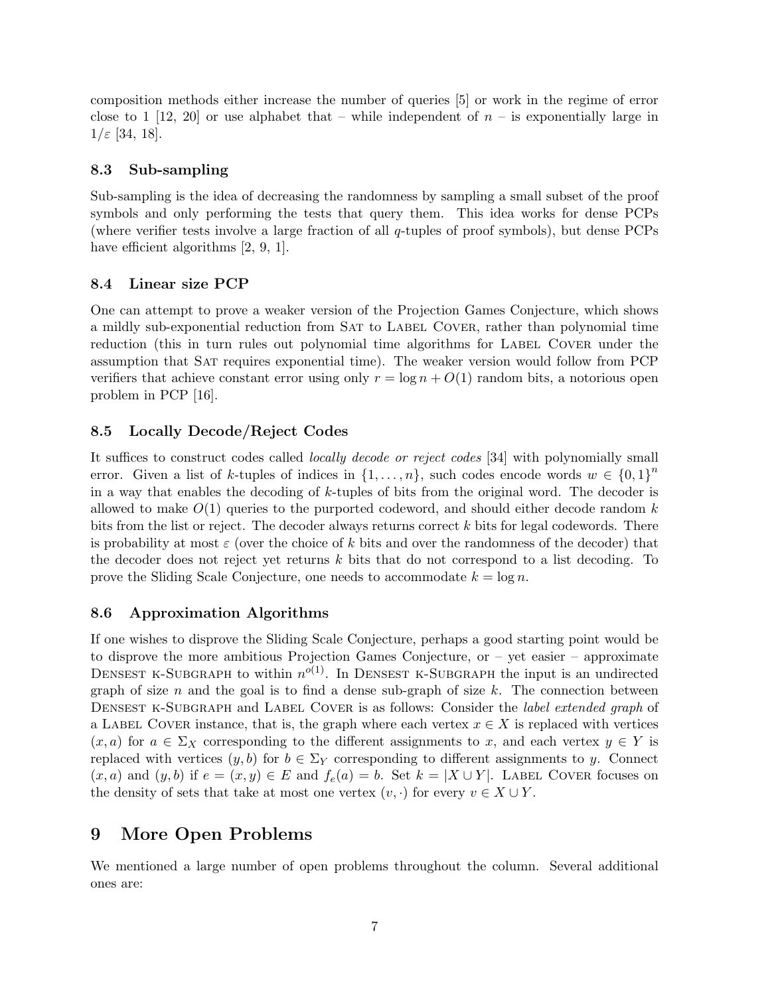composition methods either increase the number of queries [5] or work in the regime of error close to 1 [12, 20] or use alphabet that – while independent of  $n -$  is exponentially large in  $1/\varepsilon$  [34, 18].

#### 8.3 Sub-sampling

Sub-sampling is the idea of decreasing the randomness by sampling a small subset of the proof symbols and only performing the tests that query them. This idea works for dense PCPs (where verifier tests involve a large fraction of all q-tuples of proof symbols), but dense PCPs have efficient algorithms [2, 9, 1].

#### 8.4 Linear size PCP

One can attempt to prove a weaker version of the Projection Games Conjecture, which shows a mildly sub-exponential reduction from SAT to LABEL COVER, rather than polynomial time reduction (this in turn rules out polynomial time algorithms for LABEL COVER under the assumption that Sat requires exponential time). The weaker version would follow from PCP verifiers that achieve constant error using only  $r = \log n + O(1)$  random bits, a notorious open problem in PCP [16].

#### 8.5 Locally Decode/Reject Codes

It suffices to construct codes called locally decode or reject codes [34] with polynomially small error. Given a list of k-tuples of indices in  $\{1,\ldots,n\}$ , such codes encode words  $w \in \{0,1\}^n$ in a way that enables the decoding of  $k$ -tuples of bits from the original word. The decoder is allowed to make  $O(1)$  queries to the purported codeword, and should either decode random k bits from the list or reject. The decoder always returns correct k bits for legal codewords. There is probability at most  $\varepsilon$  (over the choice of k bits and over the randomness of the decoder) that the decoder does not reject yet returns  $k$  bits that do not correspond to a list decoding. To prove the Sliding Scale Conjecture, one needs to accommodate  $k = \log n$ .

#### 8.6 Approximation Algorithms

If one wishes to disprove the Sliding Scale Conjecture, perhaps a good starting point would be to disprove the more ambitious Projection Games Conjecture, or – yet easier – approximate DENSEST K-SUBGRAPH to within  $n^{o(1)}$ . In DENSEST K-SUBGRAPH the input is an undirected graph of size  $n$  and the goal is to find a dense sub-graph of size  $k$ . The connection between DENSEST K-SUBGRAPH and LABEL COVER is as follows: Consider the *label extended graph* of a LABEL COVER instance, that is, the graph where each vertex  $x \in X$  is replaced with vertices  $(x, a)$  for  $a \in \Sigma_X$  corresponding to the different assignments to x, and each vertex  $y \in Y$  is replaced with vertices  $(y, b)$  for  $b \in \Sigma_Y$  corresponding to different assignments to y. Connect  $(x, a)$  and  $(y, b)$  if  $e = (x, y) \in E$  and  $f_e(a) = b$ . Set  $k = |X \cup Y|$ . LABEL COVER focuses on the density of sets that take at most one vertex  $(v, \cdot)$  for every  $v \in X \cup Y$ .

# 9 More Open Problems

We mentioned a large number of open problems throughout the column. Several additional ones are: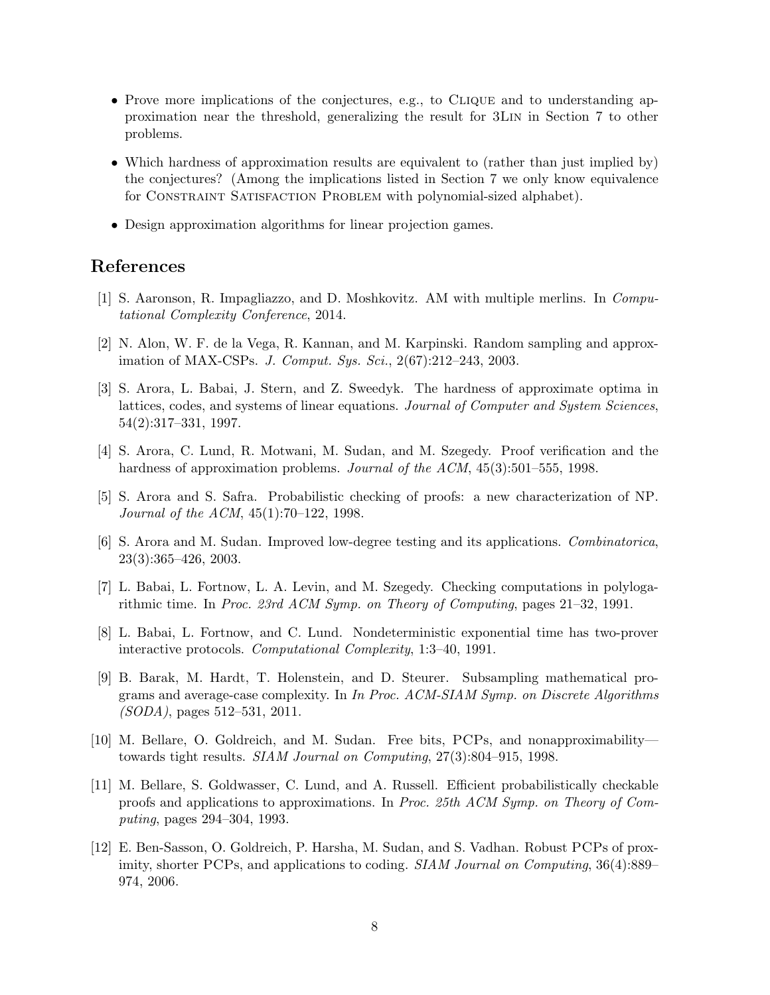- Prove more implications of the conjectures, e.g., to CLIQUE and to understanding approximation near the threshold, generalizing the result for 3Lin in Section 7 to other problems.
- Which hardness of approximation results are equivalent to (rather than just implied by) the conjectures? (Among the implications listed in Section 7 we only know equivalence for CONSTRAINT SATISFACTION PROBLEM with polynomial-sized alphabet).
- Design approximation algorithms for linear projection games.

### References

- [1] S. Aaronson, R. Impagliazzo, and D. Moshkovitz. AM with multiple merlins. In Computational Complexity Conference, 2014.
- [2] N. Alon, W. F. de la Vega, R. Kannan, and M. Karpinski. Random sampling and approximation of MAX-CSPs. J. Comput. Sys. Sci., 2(67):212–243, 2003.
- [3] S. Arora, L. Babai, J. Stern, and Z. Sweedyk. The hardness of approximate optima in lattices, codes, and systems of linear equations. Journal of Computer and System Sciences, 54(2):317–331, 1997.
- [4] S. Arora, C. Lund, R. Motwani, M. Sudan, and M. Szegedy. Proof verification and the hardness of approximation problems. Journal of the ACM, 45(3):501–555, 1998.
- [5] S. Arora and S. Safra. Probabilistic checking of proofs: a new characterization of NP. Journal of the ACM, 45(1):70–122, 1998.
- [6] S. Arora and M. Sudan. Improved low-degree testing and its applications. Combinatorica, 23(3):365–426, 2003.
- [7] L. Babai, L. Fortnow, L. A. Levin, and M. Szegedy. Checking computations in polylogarithmic time. In Proc. 23rd ACM Symp. on Theory of Computing, pages 21–32, 1991.
- [8] L. Babai, L. Fortnow, and C. Lund. Nondeterministic exponential time has two-prover interactive protocols. Computational Complexity, 1:3–40, 1991.
- [9] B. Barak, M. Hardt, T. Holenstein, and D. Steurer. Subsampling mathematical programs and average-case complexity. In In Proc. ACM-SIAM Symp. on Discrete Algorithms (SODA), pages 512–531, 2011.
- [10] M. Bellare, O. Goldreich, and M. Sudan. Free bits, PCPs, and nonapproximability towards tight results. SIAM Journal on Computing, 27(3):804–915, 1998.
- [11] M. Bellare, S. Goldwasser, C. Lund, and A. Russell. Efficient probabilistically checkable proofs and applications to approximations. In Proc. 25th ACM Symp. on Theory of Computing, pages 294–304, 1993.
- [12] E. Ben-Sasson, O. Goldreich, P. Harsha, M. Sudan, and S. Vadhan. Robust PCPs of proximity, shorter PCPs, and applications to coding. *SIAM Journal on Computing*, 36(4):889– 974, 2006.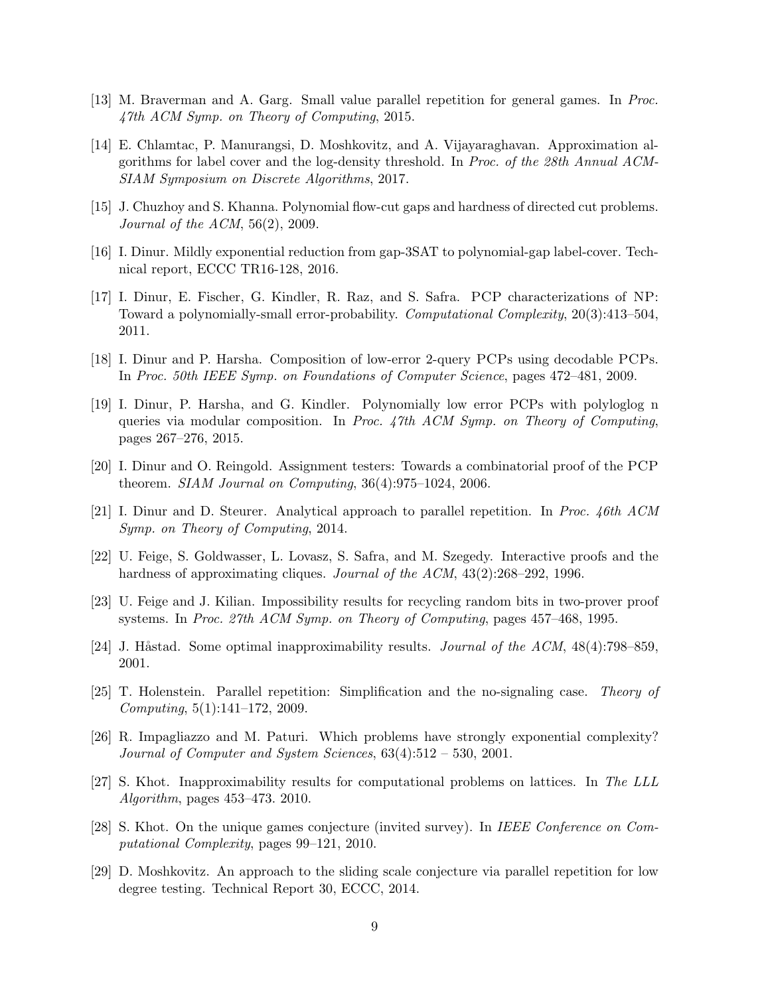- [13] M. Braverman and A. Garg. Small value parallel repetition for general games. In Proc. 47th ACM Symp. on Theory of Computing, 2015.
- [14] E. Chlamtac, P. Manurangsi, D. Moshkovitz, and A. Vijayaraghavan. Approximation algorithms for label cover and the log-density threshold. In Proc. of the 28th Annual ACM-SIAM Symposium on Discrete Algorithms, 2017.
- [15] J. Chuzhoy and S. Khanna. Polynomial flow-cut gaps and hardness of directed cut problems. Journal of the ACM, 56(2), 2009.
- [16] I. Dinur. Mildly exponential reduction from gap-3SAT to polynomial-gap label-cover. Technical report, ECCC TR16-128, 2016.
- [17] I. Dinur, E. Fischer, G. Kindler, R. Raz, and S. Safra. PCP characterizations of NP: Toward a polynomially-small error-probability. Computational Complexity, 20(3):413–504, 2011.
- [18] I. Dinur and P. Harsha. Composition of low-error 2-query PCPs using decodable PCPs. In Proc. 50th IEEE Symp. on Foundations of Computer Science, pages 472–481, 2009.
- [19] I. Dinur, P. Harsha, and G. Kindler. Polynomially low error PCPs with polyloglog n queries via modular composition. In Proc. 47th ACM Symp. on Theory of Computing, pages 267–276, 2015.
- [20] I. Dinur and O. Reingold. Assignment testers: Towards a combinatorial proof of the PCP theorem. SIAM Journal on Computing,  $36(4):975-1024$ ,  $2006$ .
- [21] I. Dinur and D. Steurer. Analytical approach to parallel repetition. In Proc. 46th ACM Symp. on Theory of Computing, 2014.
- [22] U. Feige, S. Goldwasser, L. Lovasz, S. Safra, and M. Szegedy. Interactive proofs and the hardness of approximating cliques. Journal of the ACM, 43(2):268–292, 1996.
- [23] U. Feige and J. Kilian. Impossibility results for recycling random bits in two-prover proof systems. In Proc. 27th ACM Symp. on Theory of Computing, pages 457–468, 1995.
- [24] J. Håstad. Some optimal inapproximability results. *Journal of the ACM*,  $48(4)$ :798–859, 2001.
- [25] T. Holenstein. Parallel repetition: Simplification and the no-signaling case. Theory of Computing, 5(1):141–172, 2009.
- [26] R. Impagliazzo and M. Paturi. Which problems have strongly exponential complexity? Journal of Computer and System Sciences, 63(4):512 – 530, 2001.
- [27] S. Khot. Inapproximability results for computational problems on lattices. In The LLL Algorithm, pages 453–473. 2010.
- [28] S. Khot. On the unique games conjecture (invited survey). In IEEE Conference on Computational Complexity, pages 99–121, 2010.
- [29] D. Moshkovitz. An approach to the sliding scale conjecture via parallel repetition for low degree testing. Technical Report 30, ECCC, 2014.